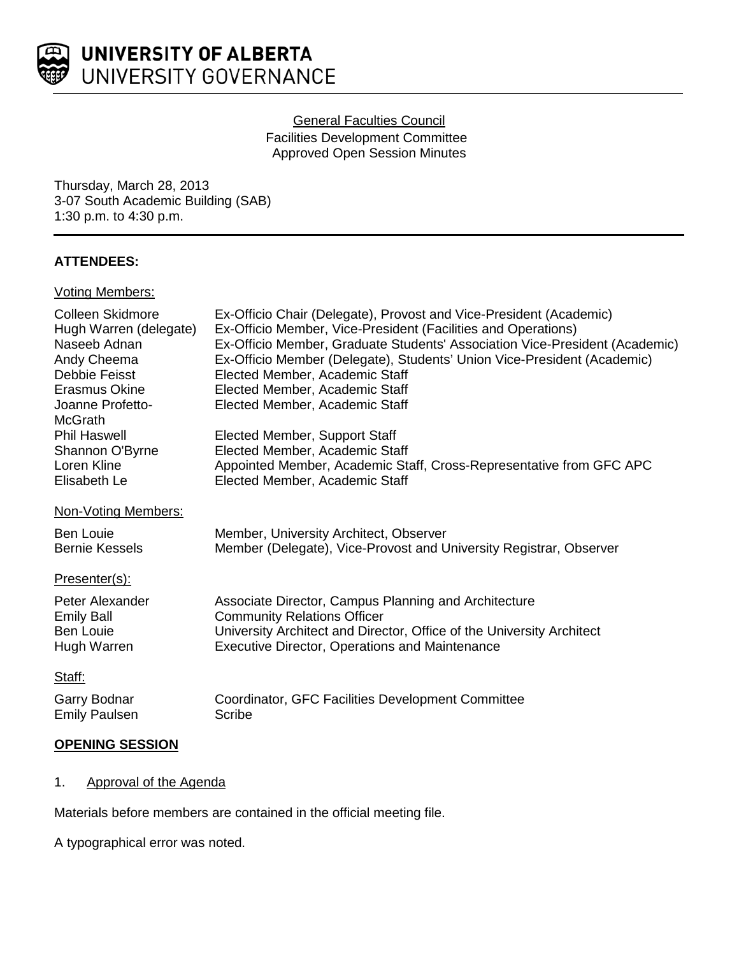

## General Faculties Council

Facilities Development Committee Approved Open Session Minutes

Thursday, March 28, 2013 3-07 South Academic Building (SAB) 1:30 p.m. to 4:30 p.m.

# **ATTENDEES:**

## Voting Members:

| Colleen Skidmore<br>Hugh Warren (delegate)<br>Naseeb Adnan<br>Andy Cheema<br>Debbie Feisst<br>Erasmus Okine<br>Joanne Profetto-<br><b>McGrath</b> | Ex-Officio Chair (Delegate), Provost and Vice-President (Academic)<br>Ex-Officio Member, Vice-President (Facilities and Operations)<br>Ex-Officio Member, Graduate Students' Association Vice-President (Academic)<br>Ex-Officio Member (Delegate), Students' Union Vice-President (Academic)<br>Elected Member, Academic Staff<br>Elected Member, Academic Staff<br>Elected Member, Academic Staff |
|---------------------------------------------------------------------------------------------------------------------------------------------------|-----------------------------------------------------------------------------------------------------------------------------------------------------------------------------------------------------------------------------------------------------------------------------------------------------------------------------------------------------------------------------------------------------|
| <b>Phil Haswell</b>                                                                                                                               | Elected Member, Support Staff                                                                                                                                                                                                                                                                                                                                                                       |
| Shannon O'Byrne                                                                                                                                   | Elected Member, Academic Staff                                                                                                                                                                                                                                                                                                                                                                      |
| Loren Kline<br>Elisabeth Le                                                                                                                       | Appointed Member, Academic Staff, Cross-Representative from GFC APC<br>Elected Member, Academic Staff                                                                                                                                                                                                                                                                                               |
| Non-Voting Members:                                                                                                                               |                                                                                                                                                                                                                                                                                                                                                                                                     |
| <b>Ben Louie</b><br><b>Bernie Kessels</b>                                                                                                         | Member, University Architect, Observer<br>Member (Delegate), Vice-Provost and University Registrar, Observer                                                                                                                                                                                                                                                                                        |
| Presenter(s):                                                                                                                                     |                                                                                                                                                                                                                                                                                                                                                                                                     |
| Peter Alexander<br><b>Emily Ball</b><br><b>Ben Louie</b><br>Hugh Warren                                                                           | Associate Director, Campus Planning and Architecture<br><b>Community Relations Officer</b><br>University Architect and Director, Office of the University Architect<br><b>Executive Director, Operations and Maintenance</b>                                                                                                                                                                        |
| Staff:                                                                                                                                            |                                                                                                                                                                                                                                                                                                                                                                                                     |
| Garry Bodnar<br><b>Emily Paulsen</b>                                                                                                              | Coordinator, GFC Facilities Development Committee<br>Scribe                                                                                                                                                                                                                                                                                                                                         |

# **OPENING SESSION**

# 1. Approval of the Agenda

Materials before members are contained in the official meeting file.

A typographical error was noted.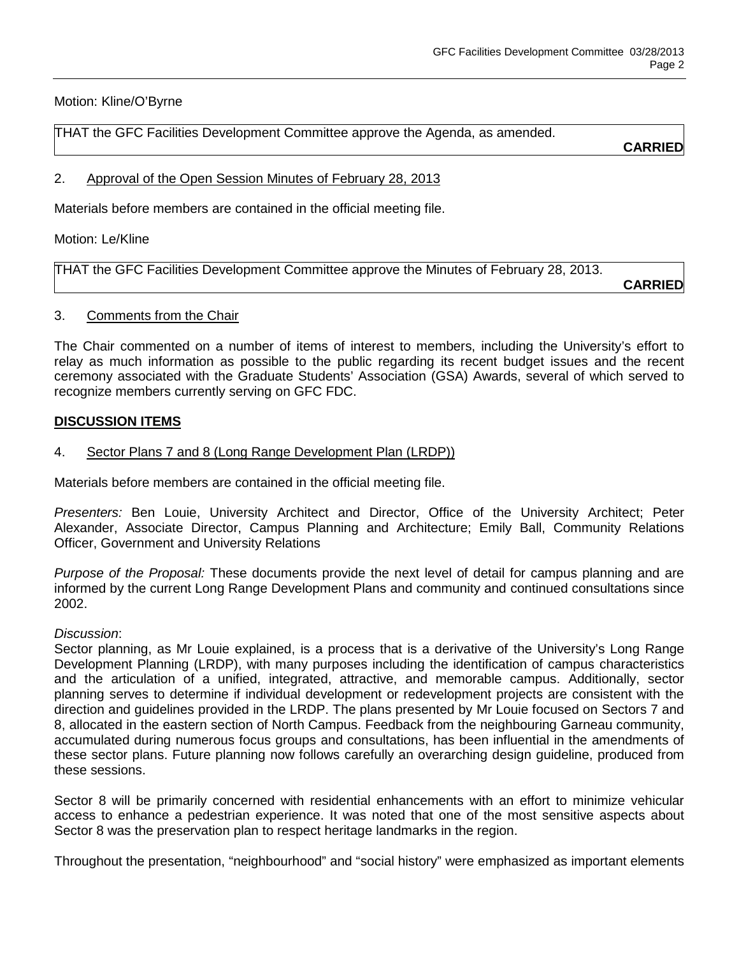Motion: Kline/O'Byrne

THAT the GFC Facilities Development Committee approve the Agenda, as amended.

**CARRIED**

2. Approval of the Open Session Minutes of February 28, 2013

Materials before members are contained in the official meeting file.

Motion: Le/Kline

THAT the GFC Facilities Development Committee approve the Minutes of February 28, 2013.

**CARRIED**

#### 3. Comments from the Chair

The Chair commented on a number of items of interest to members, including the University's effort to relay as much information as possible to the public regarding its recent budget issues and the recent ceremony associated with the Graduate Students' Association (GSA) Awards, several of which served to recognize members currently serving on GFC FDC.

## **DISCUSSION ITEMS**

## 4. Sector Plans 7 and 8 (Long Range Development Plan (LRDP))

Materials before members are contained in the official meeting file.

*Presenters:* Ben Louie, University Architect and Director, Office of the University Architect; Peter Alexander, Associate Director, Campus Planning and Architecture; Emily Ball, Community Relations Officer, Government and University Relations

*Purpose of the Proposal:* These documents provide the next level of detail for campus planning and are informed by the current Long Range Development Plans and community and continued consultations since 2002.

#### *Discussion*:

Sector planning, as Mr Louie explained, is a process that is a derivative of the University's Long Range Development Planning (LRDP), with many purposes including the identification of campus characteristics and the articulation of a unified, integrated, attractive, and memorable campus. Additionally, sector planning serves to determine if individual development or redevelopment projects are consistent with the direction and guidelines provided in the LRDP. The plans presented by Mr Louie focused on Sectors 7 and 8, allocated in the eastern section of North Campus. Feedback from the neighbouring Garneau community, accumulated during numerous focus groups and consultations, has been influential in the amendments of these sector plans. Future planning now follows carefully an overarching design guideline, produced from these sessions.

Sector 8 will be primarily concerned with residential enhancements with an effort to minimize vehicular access to enhance a pedestrian experience. It was noted that one of the most sensitive aspects about Sector 8 was the preservation plan to respect heritage landmarks in the region.

Throughout the presentation, "neighbourhood" and "social history" were emphasized as important elements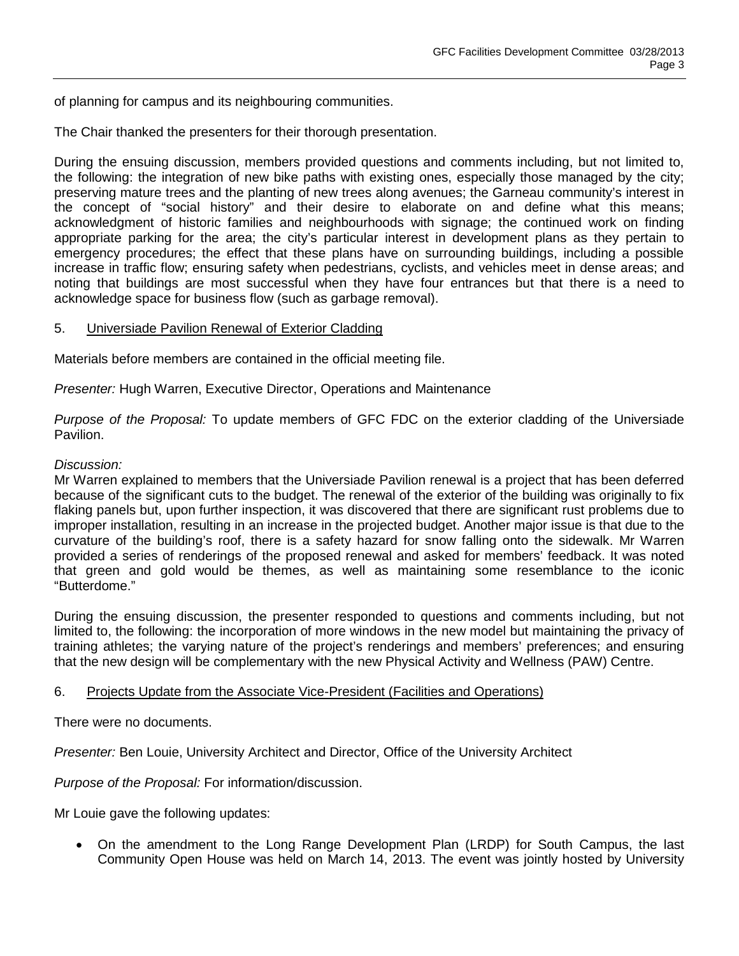of planning for campus and its neighbouring communities.

The Chair thanked the presenters for their thorough presentation.

During the ensuing discussion, members provided questions and comments including, but not limited to, the following: the integration of new bike paths with existing ones, especially those managed by the city; preserving mature trees and the planting of new trees along avenues; the Garneau community's interest in the concept of "social history" and their desire to elaborate on and define what this means; acknowledgment of historic families and neighbourhoods with signage; the continued work on finding appropriate parking for the area; the city's particular interest in development plans as they pertain to emergency procedures; the effect that these plans have on surrounding buildings, including a possible increase in traffic flow; ensuring safety when pedestrians, cyclists, and vehicles meet in dense areas; and noting that buildings are most successful when they have four entrances but that there is a need to acknowledge space for business flow (such as garbage removal).

#### 5. Universiade Pavilion Renewal of Exterior Cladding

Materials before members are contained in the official meeting file.

*Presenter:* Hugh Warren, Executive Director, Operations and Maintenance

*Purpose of the Proposal:* To update members of GFC FDC on the exterior cladding of the Universiade Pavilion.

#### *Discussion:*

Mr Warren explained to members that the Universiade Pavilion renewal is a project that has been deferred because of the significant cuts to the budget. The renewal of the exterior of the building was originally to fix flaking panels but, upon further inspection, it was discovered that there are significant rust problems due to improper installation, resulting in an increase in the projected budget. Another major issue is that due to the curvature of the building's roof, there is a safety hazard for snow falling onto the sidewalk. Mr Warren provided a series of renderings of the proposed renewal and asked for members' feedback. It was noted that green and gold would be themes, as well as maintaining some resemblance to the iconic "Butterdome."

During the ensuing discussion, the presenter responded to questions and comments including, but not limited to, the following: the incorporation of more windows in the new model but maintaining the privacy of training athletes; the varying nature of the project's renderings and members' preferences; and ensuring that the new design will be complementary with the new Physical Activity and Wellness (PAW) Centre.

#### 6. Projects Update from the Associate Vice-President (Facilities and Operations)

There were no documents.

*Presenter:* Ben Louie, University Architect and Director, Office of the University Architect

*Purpose of the Proposal:* For information/discussion.

Mr Louie gave the following updates:

• On the amendment to the Long Range Development Plan (LRDP) for South Campus, the last Community Open House was held on March 14, 2013. The event was jointly hosted by University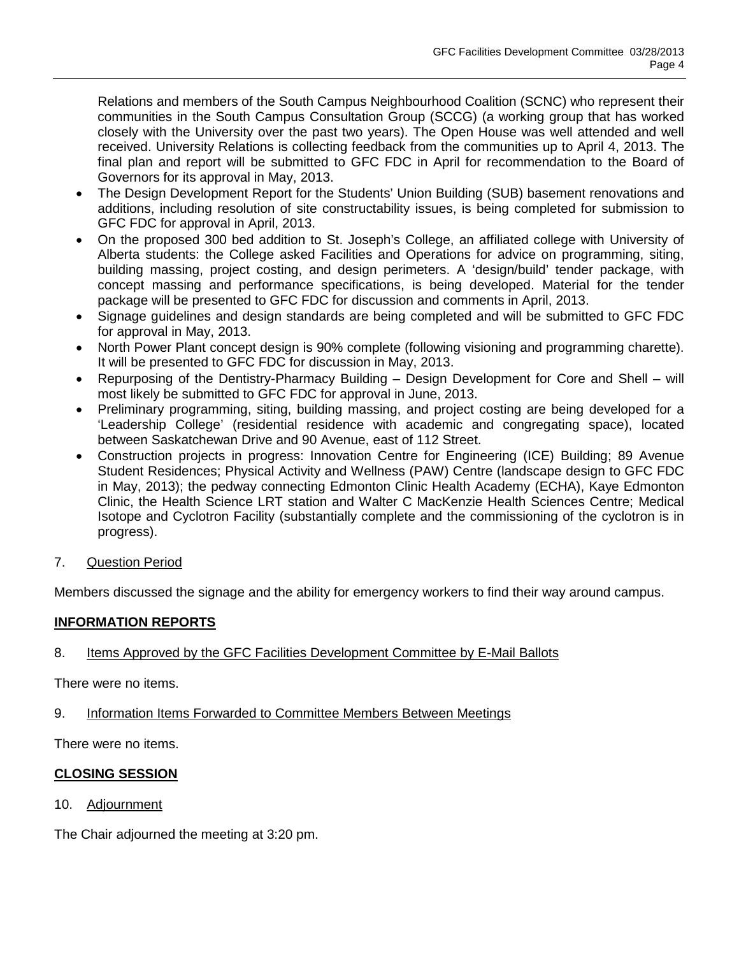Relations and members of the South Campus Neighbourhood Coalition (SCNC) who represent their communities in the South Campus Consultation Group (SCCG) (a working group that has worked closely with the University over the past two years). The Open House was well attended and well received. University Relations is collecting feedback from the communities up to April 4, 2013. The final plan and report will be submitted to GFC FDC in April for recommendation to the Board of Governors for its approval in May, 2013.

- The Design Development Report for the Students' Union Building (SUB) basement renovations and additions, including resolution of site constructability issues, is being completed for submission to GFC FDC for approval in April, 2013.
- On the proposed 300 bed addition to St. Joseph's College, an affiliated college with University of Alberta students: the College asked Facilities and Operations for advice on programming, siting, building massing, project costing, and design perimeters. A 'design/build' tender package, with concept massing and performance specifications, is being developed. Material for the tender package will be presented to GFC FDC for discussion and comments in April, 2013.
- Signage guidelines and design standards are being completed and will be submitted to GFC FDC for approval in May, 2013.
- North Power Plant concept design is 90% complete (following visioning and programming charette). It will be presented to GFC FDC for discussion in May, 2013.
- Repurposing of the Dentistry-Pharmacy Building Design Development for Core and Shell will most likely be submitted to GFC FDC for approval in June, 2013.
- Preliminary programming, siting, building massing, and project costing are being developed for a 'Leadership College' (residential residence with academic and congregating space), located between Saskatchewan Drive and 90 Avenue, east of 112 Street.
- Construction projects in progress: Innovation Centre for Engineering (ICE) Building; 89 Avenue Student Residences; Physical Activity and Wellness (PAW) Centre (landscape design to GFC FDC in May, 2013); the pedway connecting Edmonton Clinic Health Academy (ECHA), Kaye Edmonton Clinic, the Health Science LRT station and Walter C MacKenzie Health Sciences Centre; Medical Isotope and Cyclotron Facility (substantially complete and the commissioning of the cyclotron is in progress).
- 7. Question Period

Members discussed the signage and the ability for emergency workers to find their way around campus.

# **INFORMATION REPORTS**

# 8. Items Approved by the GFC Facilities Development Committee by E-Mail Ballots

There were no items.

9. Information Items Forwarded to Committee Members Between Meetings

There were no items.

# **CLOSING SESSION**

10. Adjournment

The Chair adjourned the meeting at 3:20 pm.